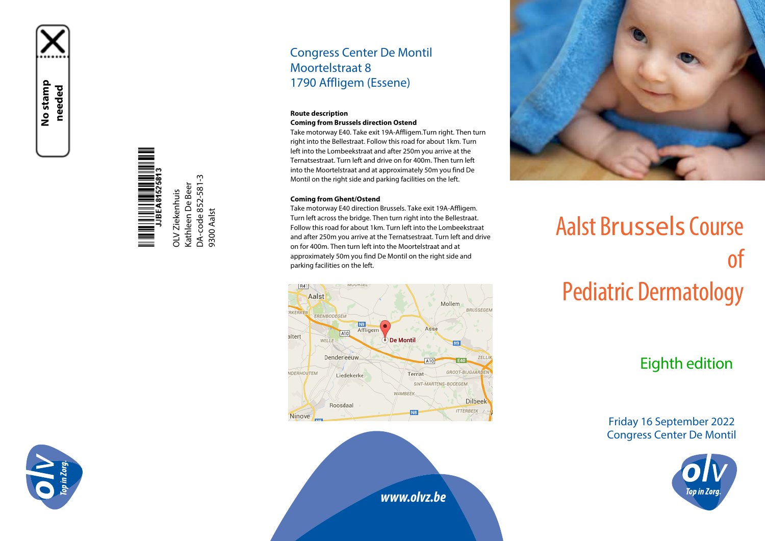**No stamp needed**

> Kathleen De Beer<br>DA-code 852-581-3 Kathleen De Beer OLV Ziekenhuis OLV Ziekenhuis

DA-code 852-581-3

9300 Aalst

9300 Aalst

### Congress Center De Montil Moortelstraat 8 1790 Affligem (Essene)

#### **Route description Coming from Brussels direction Ostend**

Take motorway E40. Take exit 19A-Affligem.Turn right. Then turn right into the Bellestraat. Follow this road for about 1km. Turn left into the Lombeekstraat and after 250m you arrive at the Ternatsestraat. Turn left and drive on for 400m. Then turn left into the Moortelstraat and at approximately 50m you find De Montil on the right side and parking facilities on the left.

#### **Coming from Ghent/Ostend**

Take motorway E40 direction Brussels. Take exit 19A-Affligem. Turn left across the bridge. Then turn right into the Bellestraat. Follow this road for about 1km. Turn left into the Lombeekstraat and after 250m you arrive at the Ternatsestraat. Turn left and drive on for 400m. Then turn left into the Moortelstraat and at approximately 50m you find De Montil on the right side and parking facilities on the left.





# Aalst Brussels Course of Pediatric Dermatology

## Eighth edition

Friday 16 September 2022 Congress Center De Montil